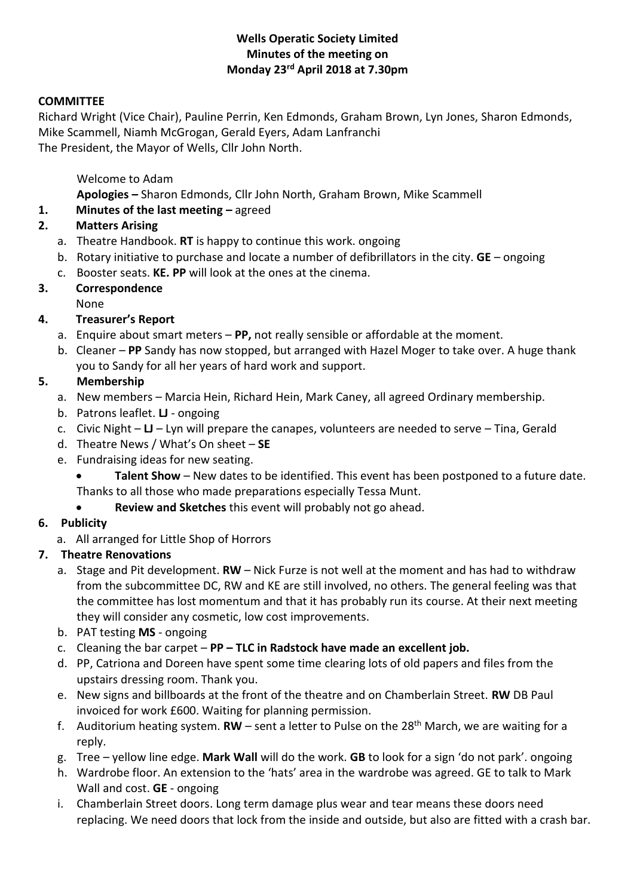#### **Wells Operatic Society Limited Minutes of the meeting on Monday 23rd April 2018 at 7.30pm**

#### **COMMITTEE**

Richard Wright (Vice Chair), Pauline Perrin, Ken Edmonds, Graham Brown, Lyn Jones, Sharon Edmonds, Mike Scammell, Niamh McGrogan, Gerald Eyers, Adam Lanfranchi The President, the Mayor of Wells, Cllr John North.

Welcome to Adam

**Apologies –** Sharon Edmonds, Cllr John North, Graham Brown, Mike Scammell

**1. Minutes of the last meeting –** agreed

## **2. Matters Arising**

- a. Theatre Handbook. **RT** is happy to continue this work. ongoing
- b. Rotary initiative to purchase and locate a number of defibrillators in the city. **GE**  ongoing
- c. Booster seats. **KE. PP** will look at the ones at the cinema.

#### **3. Correspondence** None

## **4. Treasurer's Report**

- a. Enquire about smart meters **PP,** not really sensible or affordable at the moment.
- b. Cleaner **PP** Sandy has now stopped, but arranged with Hazel Moger to take over. A huge thank you to Sandy for all her years of hard work and support.

#### **5. Membership**

- a. New members Marcia Hein, Richard Hein, Mark Caney, all agreed Ordinary membership.
- b. Patrons leaflet. **LJ** ongoing
- c. Civic Night **LJ** Lyn will prepare the canapes, volunteers are needed to serve Tina, Gerald
- d. Theatre News / What's On sheet **SE**
- e. Fundraising ideas for new seating.
	- **Talent Show** New dates to be identified. This event has been postponed to a future date. Thanks to all those who made preparations especially Tessa Munt.
		- **Review and Sketches** this event will probably not go ahead.

## **6. Publicity**

a. All arranged for Little Shop of Horrors

## **7. Theatre Renovations**

- a. Stage and Pit development. **RW** Nick Furze is not well at the moment and has had to withdraw from the subcommittee DC, RW and KE are still involved, no others. The general feeling was that the committee has lost momentum and that it has probably run its course. At their next meeting they will consider any cosmetic, low cost improvements.
- b. PAT testing **MS** ongoing
- c. Cleaning the bar carpet **PP – TLC in Radstock have made an excellent job.**
- d. PP, Catriona and Doreen have spent some time clearing lots of old papers and files from the upstairs dressing room. Thank you.
- e. New signs and billboards at the front of the theatre and on Chamberlain Street. **RW** DB Paul invoiced for work £600. Waiting for planning permission.
- f. Auditorium heating system. **RW** sent a letter to Pulse on the 28<sup>th</sup> March, we are waiting for a reply.
- g. Tree yellow line edge. **Mark Wall** will do the work. **GB** to look for a sign 'do not park'. ongoing
- h. Wardrobe floor. An extension to the 'hats' area in the wardrobe was agreed. GE to talk to Mark Wall and cost. **GE** - ongoing
- i. Chamberlain Street doors. Long term damage plus wear and tear means these doors need replacing. We need doors that lock from the inside and outside, but also are fitted with a crash bar.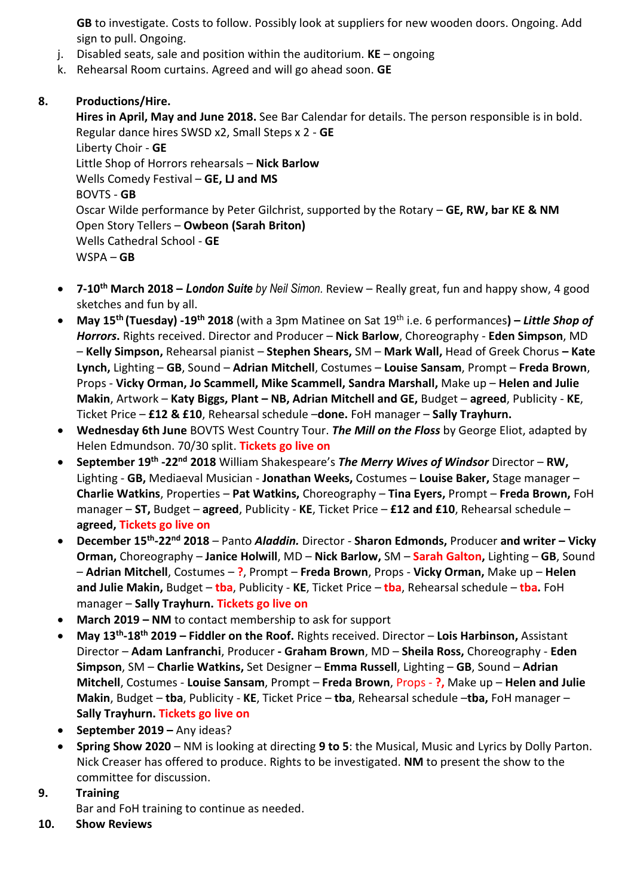**GB** to investigate. Costs to follow. Possibly look at suppliers for new wooden doors. Ongoing. Add sign to pull. Ongoing.

- j. Disabled seats, sale and position within the auditorium. **KE** ongoing
- k. Rehearsal Room curtains. Agreed and will go ahead soon. **GE**

# **8. Productions/Hire.**

**Hires in April, May and June 2018.** See Bar Calendar for details. The person responsible is in bold. Regular dance hires SWSD x2, Small Steps x 2 - **GE** Liberty Choir - **GE** Little Shop of Horrors rehearsals – **Nick Barlow** Wells Comedy Festival – **GE, LJ and MS** BOVTS - **GB** Oscar Wilde performance by Peter Gilchrist, supported by the Rotary – **GE, RW, bar KE & NM** Open Story Tellers – **Owbeon (Sarah Briton)** Wells Cathedral School - **GE** WSPA – **GB**

- **7-10th March 2018 –** *London Suite by Neil Simon.* Review Really great, fun and happy show, 4 good sketches and fun by all.
- **May 15th (Tuesday) -19th 2018** (with a 3pm Matinee on Sat 19th i.e. 6 performances**) –** *Little Shop of Horrors***.** Rights received. Director and Producer – **Nick Barlow**, Choreography - **Eden Simpson**, MD – **Kelly Simpson,** Rehearsal pianist – **Stephen Shears,** SM – **Mark Wall,** Head of Greek Chorus **– Kate Lynch,** Lighting – **GB**, Sound – **Adrian Mitchell**, Costumes – **Louise Sansam**, Prompt – **Freda Brown**, Props - **Vicky Orman, Jo Scammell, Mike Scammell, Sandra Marshall,** Make up – **Helen and Julie Makin**, Artwork – **Katy Biggs, Plant – NB, Adrian Mitchell and GE,** Budget – **agreed**, Publicity - **KE**, Ticket Price – **£12 & £10**, Rehearsal schedule –**done.** FoH manager – **Sally Trayhurn.**
- **Wednesday 6th June** BOVTS West Country Tour. *The Mill on the Floss* by George Eliot, adapted by Helen Edmundson. 70/30 split. **Tickets go live on**
- **September 19th -22nd 2018** William Shakespeare's *The Merry Wives of Windsor* Director **RW,**  Lighting - **GB,** Mediaeval Musician - **Jonathan Weeks,** Costumes – **Louise Baker,** Stage manager – **Charlie Watkins**, Properties – **Pat Watkins,** Choreography – **Tina Eyers,** Prompt – **Freda Brown,** FoH manager – **ST,** Budget – **agreed**, Publicity - **KE**, Ticket Price – **£12 and £10**, Rehearsal schedule – **agreed, Tickets go live on**
- **December 15th -22nd 2018** *–* Panto *Aladdin.* Director **Sharon Edmonds,** Producer **and writer – Vicky Orman,** Choreography – **Janice Holwill**, MD – **Nick Barlow,** SM – **Sarah Galton,** Lighting – **GB**, Sound – **Adrian Mitchell**, Costumes – **?**, Prompt – **Freda Brown**, Props - **Vicky Orman,** Make up – **Helen and Julie Makin,** Budget – **tba**, Publicity - **KE**, Ticket Price – **tba**, Rehearsal schedule – **tba.** FoH manager – **Sally Trayhurn. Tickets go live on**
- **March 2019 – NM** to contact membership to ask for support
- **May 13th -18th 2019 – Fiddler on the Roof.** Rights received. Director **Lois Harbinson,** Assistant Director – **Adam Lanfranchi**, Producer **- Graham Brown**, MD – **Sheila Ross,** Choreography - **Eden Simpson**, SM – **Charlie Watkins,** Set Designer – **Emma Russell**, Lighting – **GB**, Sound – **Adrian Mitchell**, Costumes - **Louise Sansam**, Prompt – **Freda Brown**, Props - **?,** Make up – **Helen and Julie Makin**, Budget – **tba**, Publicity - **KE**, Ticket Price – **tba**, Rehearsal schedule –**tba,** FoH manager – **Sally Trayhurn. Tickets go live on**
- **•** September 2019 Any ideas?
- **Spring Show 2020**  NM is looking at directing **9 to 5**: the Musical, Music and Lyrics by Dolly Parton. Nick Creaser has offered to produce. Rights to be investigated. **NM** to present the show to the committee for discussion.
- **9. Training**

Bar and FoH training to continue as needed.

**10. Show Reviews**